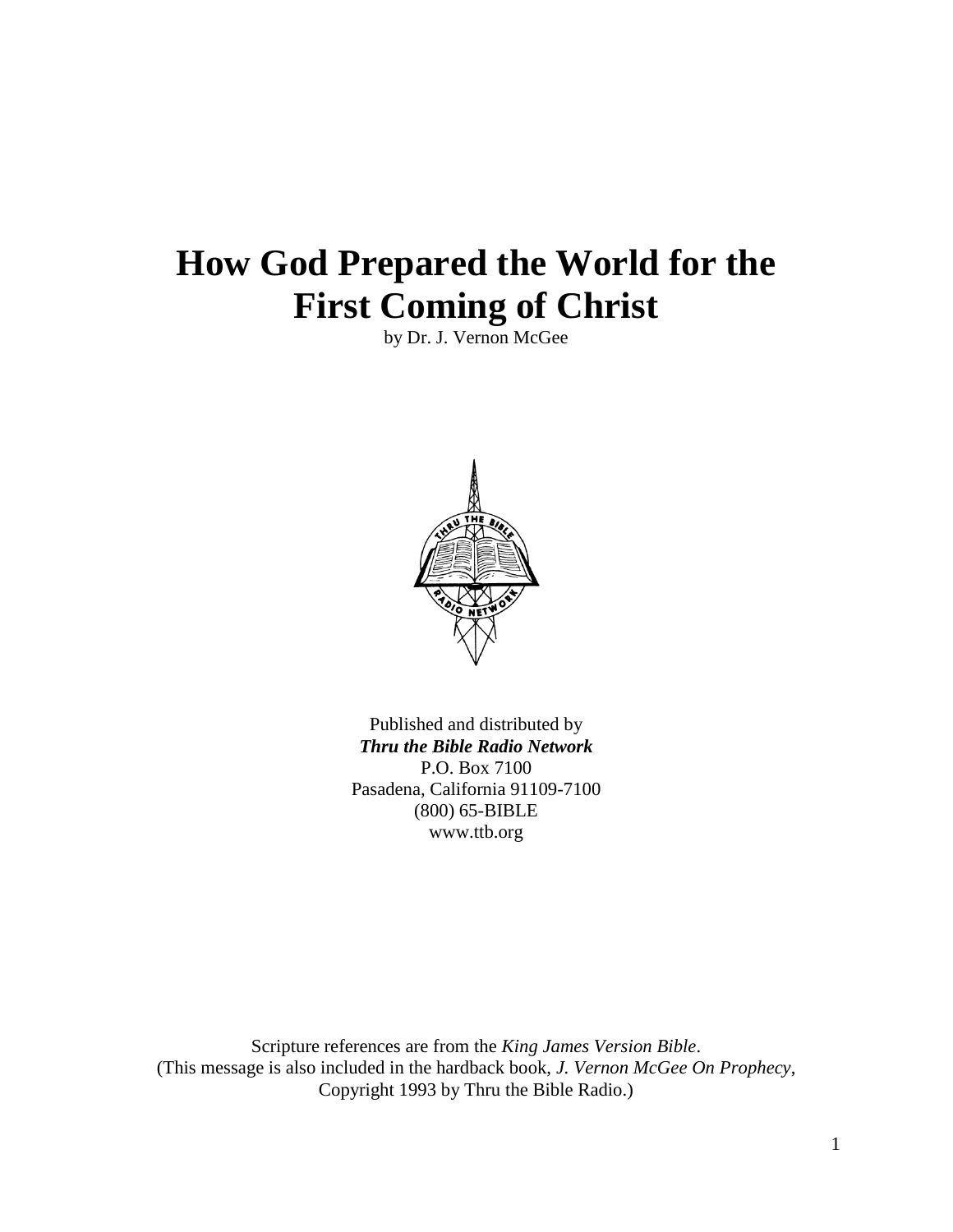# **How God Prepared the World for the First Coming of Christ**

by Dr. J. Vernon McGee



Published and distributed by *Thru the Bible Radio Network* P.O. Box 7100 Pasadena, California 91109-7100 (800) 65-BIBLE www.ttb.org

Scripture references are from the *King James Version Bible*. (This message is also included in the hardback book, *J. Vernon McGee On Prophecy*, Copyright 1993 by Thru the Bible Radio.)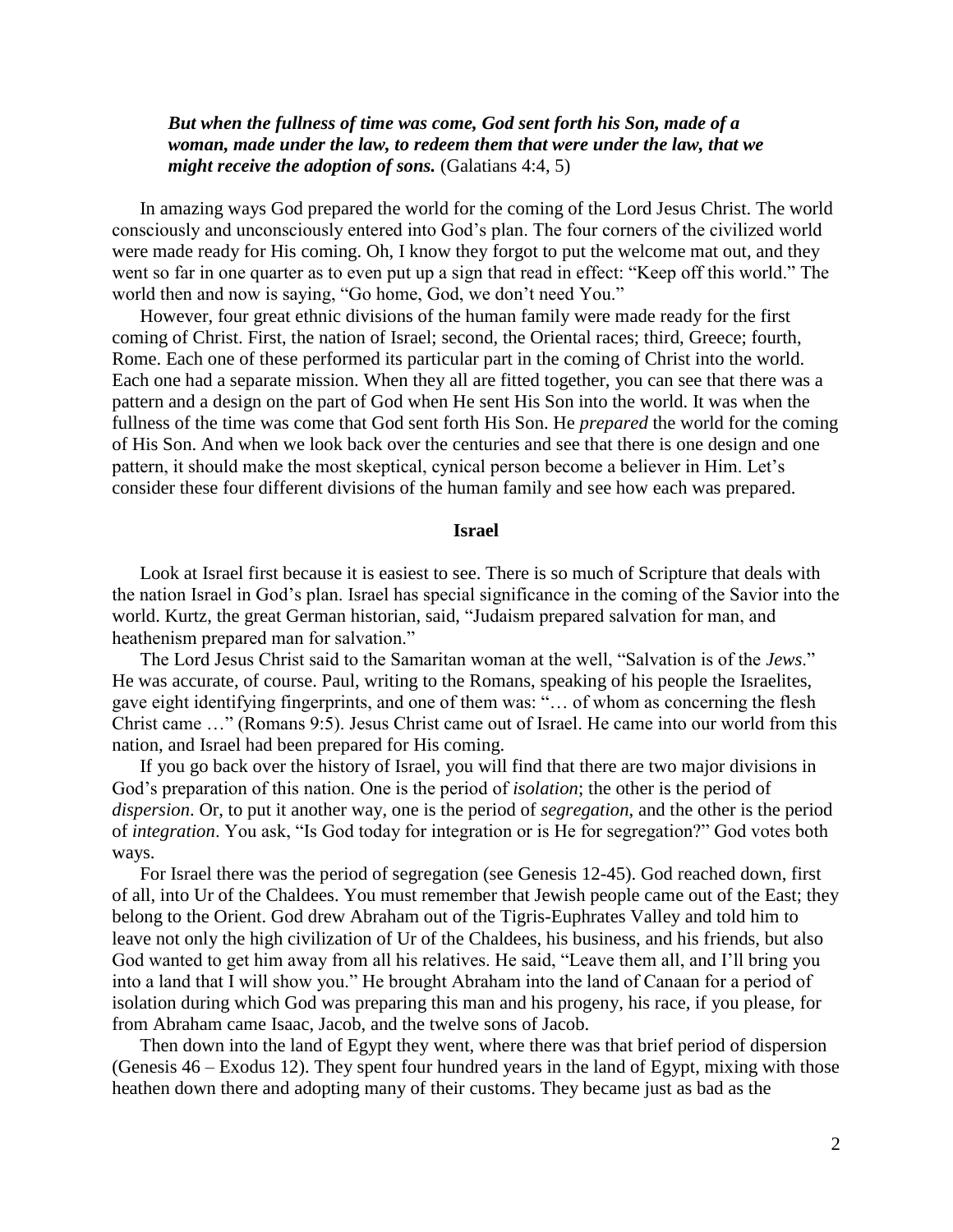# *But when the fullness of time was come, God sent forth his Son, made of a woman, made under the law, to redeem them that were under the law, that we might receive the adoption of sons.* (Galatians 4:4, 5)

In amazing ways God prepared the world for the coming of the Lord Jesus Christ. The world consciously and unconsciously entered into God's plan. The four corners of the civilized world were made ready for His coming. Oh, I know they forgot to put the welcome mat out, and they went so far in one quarter as to even put up a sign that read in effect: "Keep off this world." The world then and now is saying, "Go home, God, we don't need You."

However, four great ethnic divisions of the human family were made ready for the first coming of Christ. First, the nation of Israel; second, the Oriental races; third, Greece; fourth, Rome. Each one of these performed its particular part in the coming of Christ into the world. Each one had a separate mission. When they all are fitted together, you can see that there was a pattern and a design on the part of God when He sent His Son into the world. It was when the fullness of the time was come that God sent forth His Son. He *prepared* the world for the coming of His Son. And when we look back over the centuries and see that there is one design and one pattern, it should make the most skeptical, cynical person become a believer in Him. Let's consider these four different divisions of the human family and see how each was prepared.

### **Israel**

Look at Israel first because it is easiest to see. There is so much of Scripture that deals with the nation Israel in God's plan. Israel has special significance in the coming of the Savior into the world. Kurtz, the great German historian, said, "Judaism prepared salvation for man, and heathenism prepared man for salvation."

The Lord Jesus Christ said to the Samaritan woman at the well, "Salvation is of the *Jews*." He was accurate, of course. Paul, writing to the Romans, speaking of his people the Israelites, gave eight identifying fingerprints, and one of them was: "… of whom as concerning the flesh Christ came …" (Romans 9:5). Jesus Christ came out of Israel. He came into our world from this nation, and Israel had been prepared for His coming.

If you go back over the history of Israel, you will find that there are two major divisions in God's preparation of this nation. One is the period of *isolation*; the other is the period of *dispersion*. Or, to put it another way, one is the period of *segregation*, and the other is the period of *integration*. You ask, "Is God today for integration or is He for segregation?" God votes both ways.

For Israel there was the period of segregation (see Genesis 12-45). God reached down, first of all, into Ur of the Chaldees. You must remember that Jewish people came out of the East; they belong to the Orient. God drew Abraham out of the Tigris-Euphrates Valley and told him to leave not only the high civilization of Ur of the Chaldees, his business, and his friends, but also God wanted to get him away from all his relatives. He said, "Leave them all, and I'll bring you into a land that I will show you." He brought Abraham into the land of Canaan for a period of isolation during which God was preparing this man and his progeny, his race, if you please, for from Abraham came Isaac, Jacob, and the twelve sons of Jacob.

Then down into the land of Egypt they went, where there was that brief period of dispersion (Genesis 46 – Exodus 12). They spent four hundred years in the land of Egypt, mixing with those heathen down there and adopting many of their customs. They became just as bad as the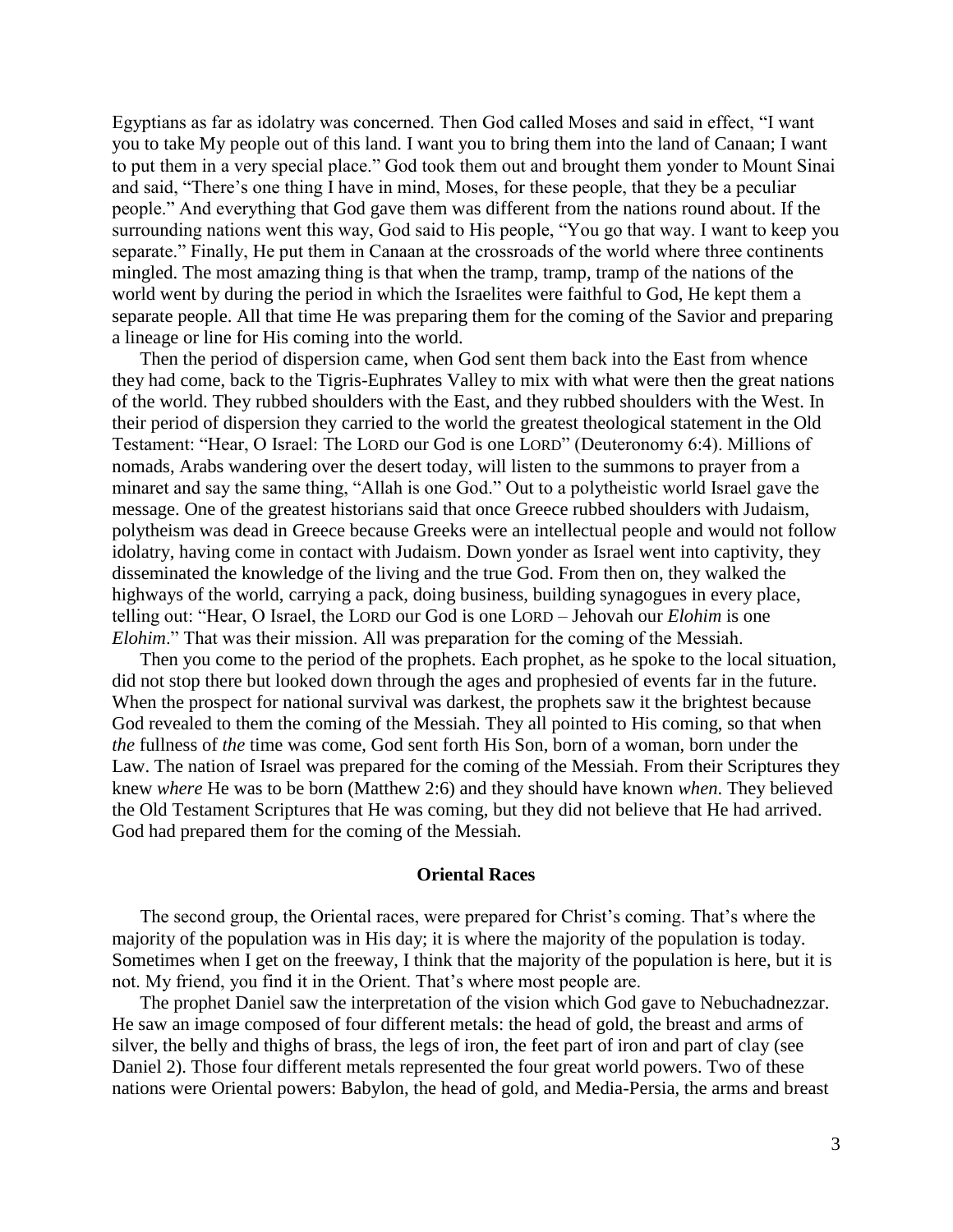Egyptians as far as idolatry was concerned. Then God called Moses and said in effect, "I want you to take My people out of this land. I want you to bring them into the land of Canaan; I want to put them in a very special place." God took them out and brought them yonder to Mount Sinai and said, "There's one thing I have in mind, Moses, for these people, that they be a peculiar people." And everything that God gave them was different from the nations round about. If the surrounding nations went this way, God said to His people, "You go that way. I want to keep you separate." Finally, He put them in Canaan at the crossroads of the world where three continents mingled. The most amazing thing is that when the tramp, tramp, tramp of the nations of the world went by during the period in which the Israelites were faithful to God, He kept them a separate people. All that time He was preparing them for the coming of the Savior and preparing a lineage or line for His coming into the world.

Then the period of dispersion came, when God sent them back into the East from whence they had come, back to the Tigris-Euphrates Valley to mix with what were then the great nations of the world. They rubbed shoulders with the East, and they rubbed shoulders with the West. In their period of dispersion they carried to the world the greatest theological statement in the Old Testament: "Hear, O Israel: The LORD our God is one LORD" (Deuteronomy 6:4). Millions of nomads, Arabs wandering over the desert today, will listen to the summons to prayer from a minaret and say the same thing, "Allah is one God." Out to a polytheistic world Israel gave the message. One of the greatest historians said that once Greece rubbed shoulders with Judaism, polytheism was dead in Greece because Greeks were an intellectual people and would not follow idolatry, having come in contact with Judaism. Down yonder as Israel went into captivity, they disseminated the knowledge of the living and the true God. From then on, they walked the highways of the world, carrying a pack, doing business, building synagogues in every place, telling out: "Hear, O Israel, the LORD our God is one LORD – Jehovah our *Elohim* is one *Elohim*." That was their mission. All was preparation for the coming of the Messiah.

Then you come to the period of the prophets. Each prophet, as he spoke to the local situation, did not stop there but looked down through the ages and prophesied of events far in the future. When the prospect for national survival was darkest, the prophets saw it the brightest because God revealed to them the coming of the Messiah. They all pointed to His coming, so that when *the* fullness of *the* time was come, God sent forth His Son, born of a woman, born under the Law. The nation of Israel was prepared for the coming of the Messiah. From their Scriptures they knew *where* He was to be born (Matthew 2:6) and they should have known *when*. They believed the Old Testament Scriptures that He was coming, but they did not believe that He had arrived. God had prepared them for the coming of the Messiah.

## **Oriental Races**

The second group, the Oriental races, were prepared for Christ's coming. That's where the majority of the population was in His day; it is where the majority of the population is today. Sometimes when I get on the freeway, I think that the majority of the population is here, but it is not. My friend, you find it in the Orient. That's where most people are.

The prophet Daniel saw the interpretation of the vision which God gave to Nebuchadnezzar. He saw an image composed of four different metals: the head of gold, the breast and arms of silver, the belly and thighs of brass, the legs of iron, the feet part of iron and part of clay (see Daniel 2). Those four different metals represented the four great world powers. Two of these nations were Oriental powers: Babylon, the head of gold, and Media-Persia, the arms and breast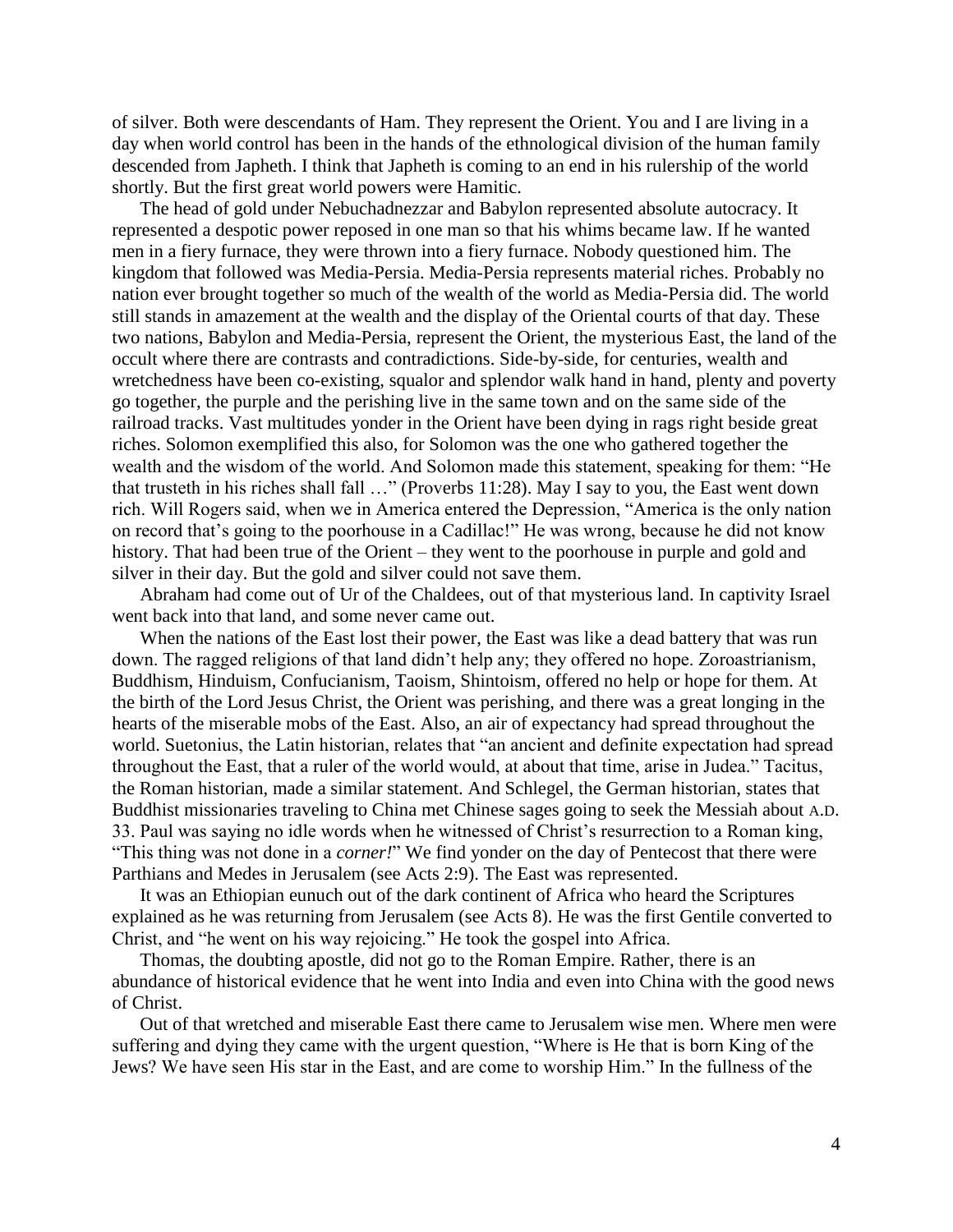of silver. Both were descendants of Ham. They represent the Orient. You and I are living in a day when world control has been in the hands of the ethnological division of the human family descended from Japheth. I think that Japheth is coming to an end in his rulership of the world shortly. But the first great world powers were Hamitic.

The head of gold under Nebuchadnezzar and Babylon represented absolute autocracy. It represented a despotic power reposed in one man so that his whims became law. If he wanted men in a fiery furnace, they were thrown into a fiery furnace. Nobody questioned him. The kingdom that followed was Media-Persia. Media-Persia represents material riches. Probably no nation ever brought together so much of the wealth of the world as Media-Persia did. The world still stands in amazement at the wealth and the display of the Oriental courts of that day. These two nations, Babylon and Media-Persia, represent the Orient, the mysterious East, the land of the occult where there are contrasts and contradictions. Side-by-side, for centuries, wealth and wretchedness have been co-existing, squalor and splendor walk hand in hand, plenty and poverty go together, the purple and the perishing live in the same town and on the same side of the railroad tracks. Vast multitudes yonder in the Orient have been dying in rags right beside great riches. Solomon exemplified this also, for Solomon was the one who gathered together the wealth and the wisdom of the world. And Solomon made this statement, speaking for them: "He that trusteth in his riches shall fall …" (Proverbs 11:28). May I say to you, the East went down rich. Will Rogers said, when we in America entered the Depression, "America is the only nation on record that's going to the poorhouse in a Cadillac!" He was wrong, because he did not know history. That had been true of the Orient – they went to the poorhouse in purple and gold and silver in their day. But the gold and silver could not save them.

Abraham had come out of Ur of the Chaldees, out of that mysterious land. In captivity Israel went back into that land, and some never came out.

When the nations of the East lost their power, the East was like a dead battery that was run down. The ragged religions of that land didn't help any; they offered no hope. Zoroastrianism, Buddhism, Hinduism, Confucianism, Taoism, Shintoism, offered no help or hope for them. At the birth of the Lord Jesus Christ, the Orient was perishing, and there was a great longing in the hearts of the miserable mobs of the East. Also, an air of expectancy had spread throughout the world. Suetonius, the Latin historian, relates that "an ancient and definite expectation had spread throughout the East, that a ruler of the world would, at about that time, arise in Judea." Tacitus, the Roman historian, made a similar statement. And Schlegel, the German historian, states that Buddhist missionaries traveling to China met Chinese sages going to seek the Messiah about A.D. 33. Paul was saying no idle words when he witnessed of Christ's resurrection to a Roman king, "This thing was not done in a *corner!*" We find yonder on the day of Pentecost that there were Parthians and Medes in Jerusalem (see Acts 2:9). The East was represented.

It was an Ethiopian eunuch out of the dark continent of Africa who heard the Scriptures explained as he was returning from Jerusalem (see Acts 8). He was the first Gentile converted to Christ, and "he went on his way rejoicing." He took the gospel into Africa.

Thomas, the doubting apostle, did not go to the Roman Empire. Rather, there is an abundance of historical evidence that he went into India and even into China with the good news of Christ.

Out of that wretched and miserable East there came to Jerusalem wise men. Where men were suffering and dying they came with the urgent question, "Where is He that is born King of the Jews? We have seen His star in the East, and are come to worship Him." In the fullness of the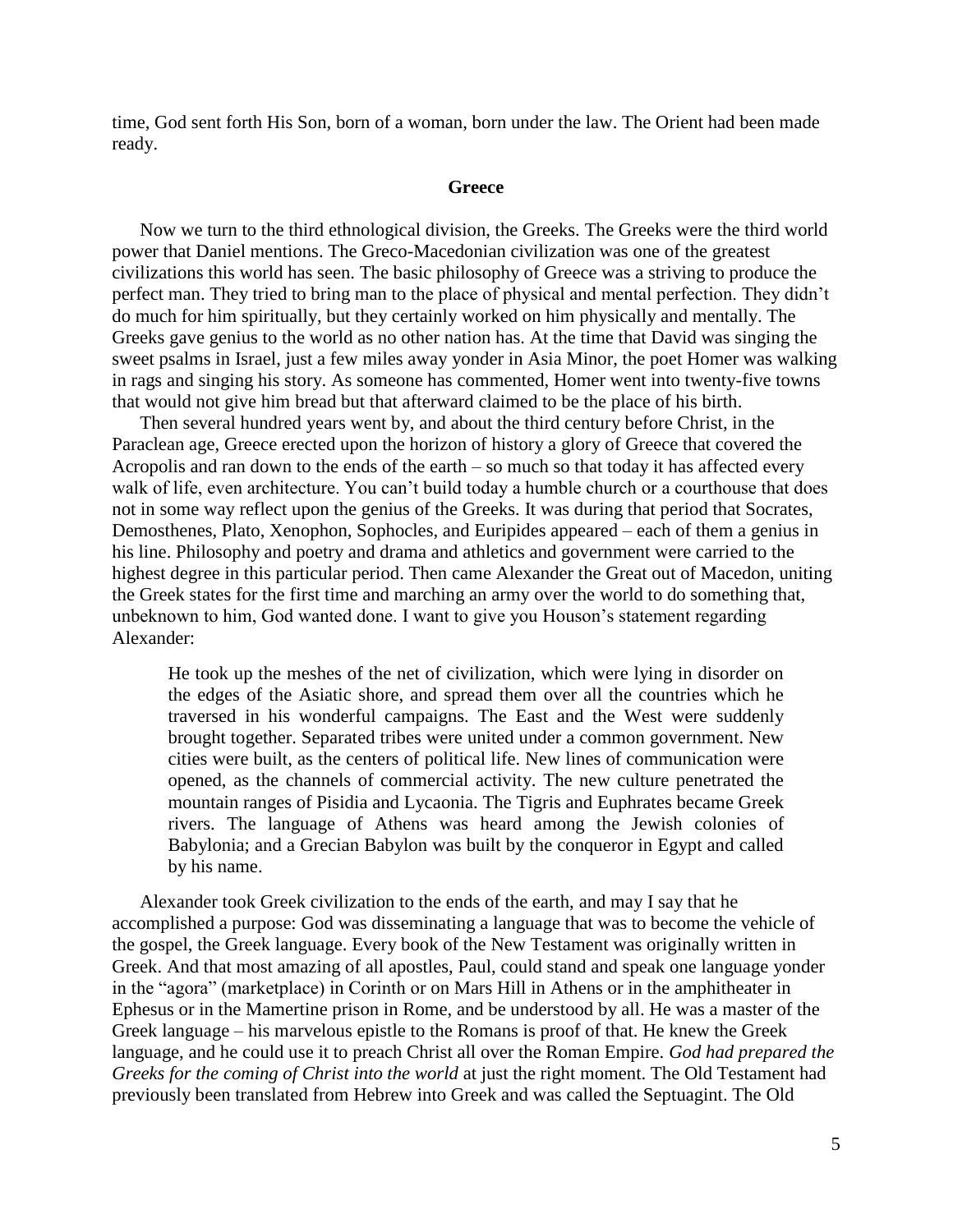time, God sent forth His Son, born of a woman, born under the law. The Orient had been made ready.

#### **Greece**

Now we turn to the third ethnological division, the Greeks. The Greeks were the third world power that Daniel mentions. The Greco-Macedonian civilization was one of the greatest civilizations this world has seen. The basic philosophy of Greece was a striving to produce the perfect man. They tried to bring man to the place of physical and mental perfection. They didn't do much for him spiritually, but they certainly worked on him physically and mentally. The Greeks gave genius to the world as no other nation has. At the time that David was singing the sweet psalms in Israel, just a few miles away yonder in Asia Minor, the poet Homer was walking in rags and singing his story. As someone has commented, Homer went into twenty-five towns that would not give him bread but that afterward claimed to be the place of his birth.

Then several hundred years went by, and about the third century before Christ, in the Paraclean age, Greece erected upon the horizon of history a glory of Greece that covered the Acropolis and ran down to the ends of the earth – so much so that today it has affected every walk of life, even architecture. You can't build today a humble church or a courthouse that does not in some way reflect upon the genius of the Greeks. It was during that period that Socrates, Demosthenes, Plato, Xenophon, Sophocles, and Euripides appeared – each of them a genius in his line. Philosophy and poetry and drama and athletics and government were carried to the highest degree in this particular period. Then came Alexander the Great out of Macedon, uniting the Greek states for the first time and marching an army over the world to do something that, unbeknown to him, God wanted done. I want to give you Houson's statement regarding Alexander:

He took up the meshes of the net of civilization, which were lying in disorder on the edges of the Asiatic shore, and spread them over all the countries which he traversed in his wonderful campaigns. The East and the West were suddenly brought together. Separated tribes were united under a common government. New cities were built, as the centers of political life. New lines of communication were opened, as the channels of commercial activity. The new culture penetrated the mountain ranges of Pisidia and Lycaonia. The Tigris and Euphrates became Greek rivers. The language of Athens was heard among the Jewish colonies of Babylonia; and a Grecian Babylon was built by the conqueror in Egypt and called by his name.

Alexander took Greek civilization to the ends of the earth, and may I say that he accomplished a purpose: God was disseminating a language that was to become the vehicle of the gospel, the Greek language. Every book of the New Testament was originally written in Greek. And that most amazing of all apostles, Paul, could stand and speak one language yonder in the "agora" (marketplace) in Corinth or on Mars Hill in Athens or in the amphitheater in Ephesus or in the Mamertine prison in Rome, and be understood by all. He was a master of the Greek language – his marvelous epistle to the Romans is proof of that. He knew the Greek language, and he could use it to preach Christ all over the Roman Empire. *God had prepared the Greeks for the coming of Christ into the world* at just the right moment. The Old Testament had previously been translated from Hebrew into Greek and was called the Septuagint. The Old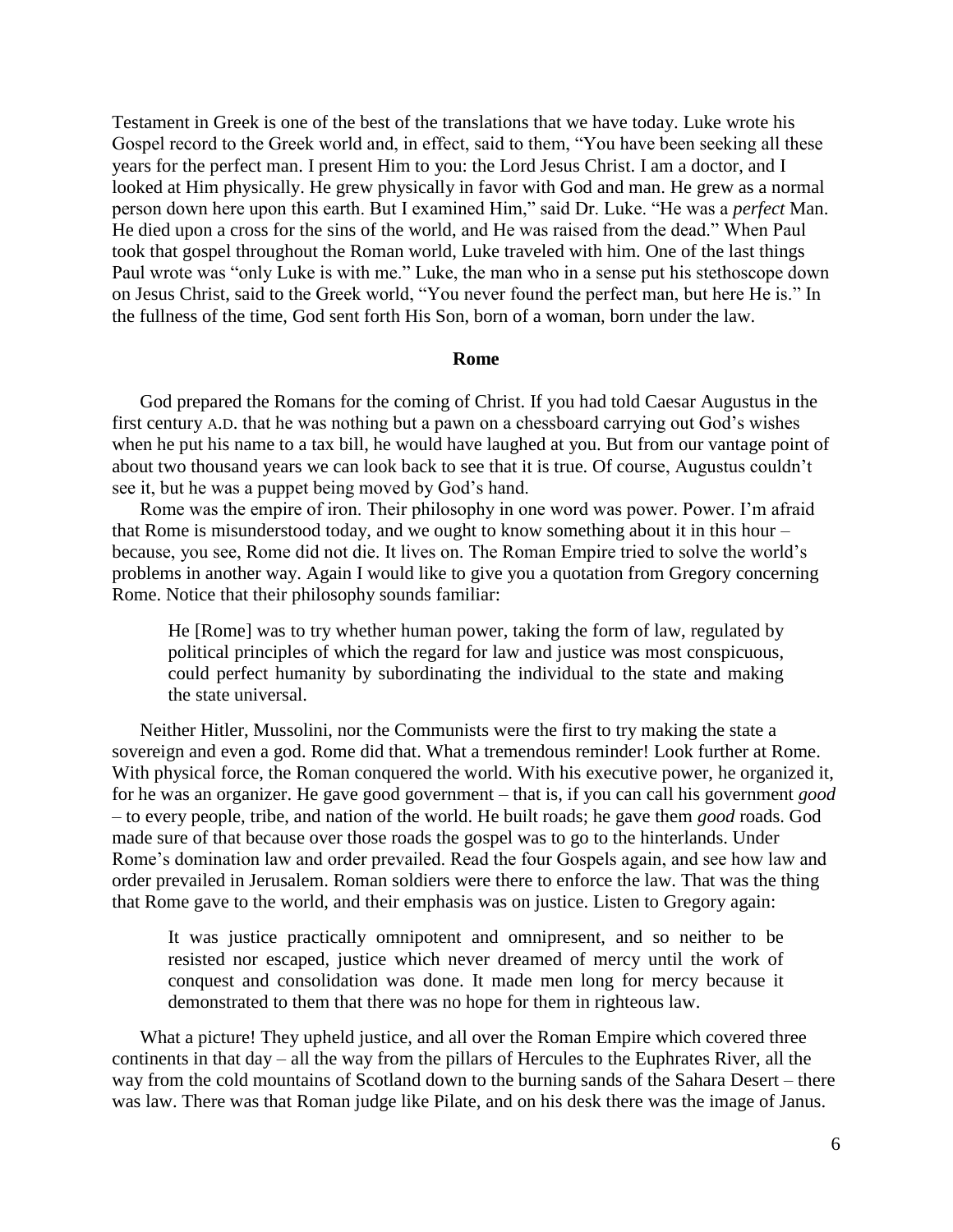Testament in Greek is one of the best of the translations that we have today. Luke wrote his Gospel record to the Greek world and, in effect, said to them, "You have been seeking all these years for the perfect man. I present Him to you: the Lord Jesus Christ. I am a doctor, and I looked at Him physically. He grew physically in favor with God and man. He grew as a normal person down here upon this earth. But I examined Him," said Dr. Luke. "He was a *perfect* Man. He died upon a cross for the sins of the world, and He was raised from the dead." When Paul took that gospel throughout the Roman world, Luke traveled with him. One of the last things Paul wrote was "only Luke is with me." Luke, the man who in a sense put his stethoscope down on Jesus Christ, said to the Greek world, "You never found the perfect man, but here He is." In the fullness of the time, God sent forth His Son, born of a woman, born under the law.

## **Rome**

God prepared the Romans for the coming of Christ. If you had told Caesar Augustus in the first century A.D. that he was nothing but a pawn on a chessboard carrying out God's wishes when he put his name to a tax bill, he would have laughed at you. But from our vantage point of about two thousand years we can look back to see that it is true. Of course, Augustus couldn't see it, but he was a puppet being moved by God's hand.

Rome was the empire of iron. Their philosophy in one word was power. Power. I'm afraid that Rome is misunderstood today, and we ought to know something about it in this hour – because, you see, Rome did not die. It lives on. The Roman Empire tried to solve the world's problems in another way. Again I would like to give you a quotation from Gregory concerning Rome. Notice that their philosophy sounds familiar:

He [Rome] was to try whether human power, taking the form of law, regulated by political principles of which the regard for law and justice was most conspicuous, could perfect humanity by subordinating the individual to the state and making the state universal.

Neither Hitler, Mussolini, nor the Communists were the first to try making the state a sovereign and even a god. Rome did that. What a tremendous reminder! Look further at Rome. With physical force, the Roman conquered the world. With his executive power, he organized it, for he was an organizer. He gave good government – that is, if you can call his government *good* – to every people, tribe, and nation of the world. He built roads; he gave them *good* roads. God made sure of that because over those roads the gospel was to go to the hinterlands. Under Rome's domination law and order prevailed. Read the four Gospels again, and see how law and order prevailed in Jerusalem. Roman soldiers were there to enforce the law. That was the thing that Rome gave to the world, and their emphasis was on justice. Listen to Gregory again:

It was justice practically omnipotent and omnipresent, and so neither to be resisted nor escaped, justice which never dreamed of mercy until the work of conquest and consolidation was done. It made men long for mercy because it demonstrated to them that there was no hope for them in righteous law.

What a picture! They upheld justice, and all over the Roman Empire which covered three continents in that day – all the way from the pillars of Hercules to the Euphrates River, all the way from the cold mountains of Scotland down to the burning sands of the Sahara Desert – there was law. There was that Roman judge like Pilate, and on his desk there was the image of Janus.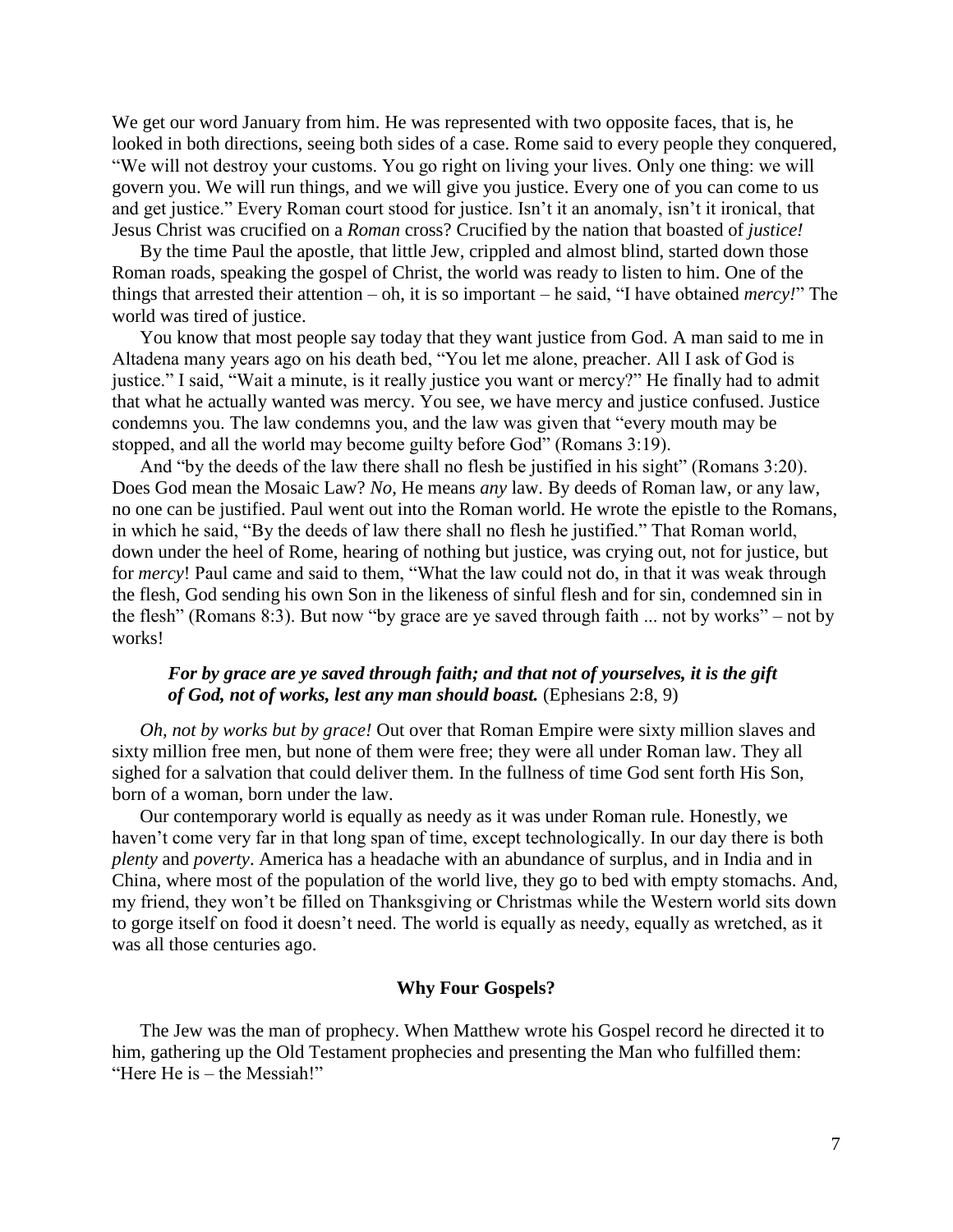We get our word January from him. He was represented with two opposite faces, that is, he looked in both directions, seeing both sides of a case. Rome said to every people they conquered, "We will not destroy your customs. You go right on living your lives. Only one thing: we will govern you. We will run things, and we will give you justice. Every one of you can come to us and get justice." Every Roman court stood for justice. Isn't it an anomaly, isn't it ironical, that Jesus Christ was crucified on a *Roman* cross? Crucified by the nation that boasted of *justice!*

By the time Paul the apostle, that little Jew, crippled and almost blind, started down those Roman roads, speaking the gospel of Christ, the world was ready to listen to him. One of the things that arrested their attention – oh, it is so important – he said, "I have obtained *mercy!*" The world was tired of justice.

You know that most people say today that they want justice from God. A man said to me in Altadena many years ago on his death bed, "You let me alone, preacher. All I ask of God is justice." I said, "Wait a minute, is it really justice you want or mercy?" He finally had to admit that what he actually wanted was mercy. You see, we have mercy and justice confused. Justice condemns you. The law condemns you, and the law was given that "every mouth may be stopped, and all the world may become guilty before God" (Romans 3:19).

And "by the deeds of the law there shall no flesh be justified in his sight" (Romans 3:20). Does God mean the Mosaic Law? *No*, He means *any* law. By deeds of Roman law, or any law, no one can be justified. Paul went out into the Roman world. He wrote the epistle to the Romans, in which he said, "By the deeds of law there shall no flesh he justified." That Roman world, down under the heel of Rome, hearing of nothing but justice, was crying out, not for justice, but for *mercy*! Paul came and said to them, "What the law could not do, in that it was weak through the flesh, God sending his own Son in the likeness of sinful flesh and for sin, condemned sin in the flesh" (Romans 8:3). But now "by grace are ye saved through faith ... not by works" – not by works!

# *For by grace are ye saved through faith; and that not of yourselves, it is the gift of God, not of works, lest any man should boast.* (Ephesians 2:8, 9)

*Oh, not by works but by grace!* Out over that Roman Empire were sixty million slaves and sixty million free men, but none of them were free; they were all under Roman law. They all sighed for a salvation that could deliver them. In the fullness of time God sent forth His Son, born of a woman, born under the law.

Our contemporary world is equally as needy as it was under Roman rule. Honestly, we haven't come very far in that long span of time, except technologically. In our day there is both *plenty* and *poverty*. America has a headache with an abundance of surplus, and in India and in China, where most of the population of the world live, they go to bed with empty stomachs. And, my friend, they won't be filled on Thanksgiving or Christmas while the Western world sits down to gorge itself on food it doesn't need. The world is equally as needy, equally as wretched, as it was all those centuries ago.

## **Why Four Gospels?**

The Jew was the man of prophecy. When Matthew wrote his Gospel record he directed it to him, gathering up the Old Testament prophecies and presenting the Man who fulfilled them: "Here He is – the Messiah!"